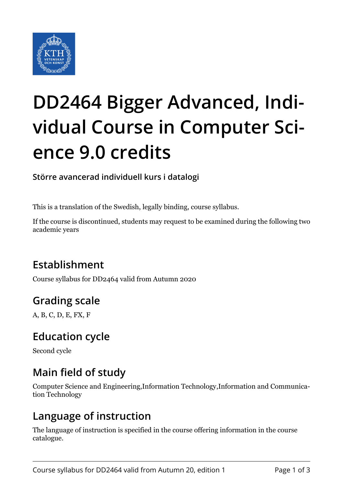

# **DD2464 Bigger Advanced, Individual Course in Computer Science 9.0 credits**

**Större avancerad individuell kurs i datalogi**

This is a translation of the Swedish, legally binding, course syllabus.

If the course is discontinued, students may request to be examined during the following two academic years

# **Establishment**

Course syllabus for DD2464 valid from Autumn 2020

# **Grading scale**

A, B, C, D, E, FX, F

## **Education cycle**

Second cycle

# **Main field of study**

Computer Science and Engineering,Information Technology,Information and Communication Technology

## **Language of instruction**

The language of instruction is specified in the course offering information in the course catalogue.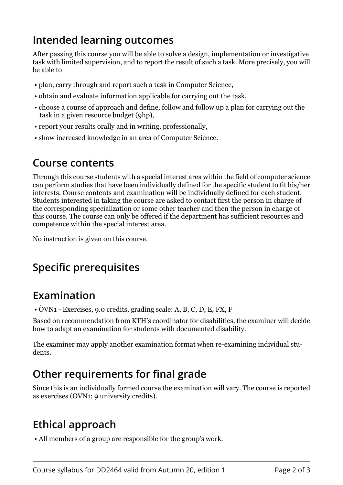## **Intended learning outcomes**

After passing this course you will be able to solve a design, implementation or investigative task with limited supervision, and to report the result of such a task. More precisely, you will be able to

- plan, carry through and report such a task in Computer Science,
- obtain and evaluate information applicable for carrying out the task,
- choose a course of approach and define, follow and follow up a plan for carrying out the task in a given resource budget (9hp),
- report your results orally and in writing, professionally,
- show increased knowledge in an area of Computer Science.

#### **Course contents**

Through this course students with a special interest area within the field of computer science can perform studies that have been individually defined for the specific student to fit his/her interests. Course contents and examination will be individually defined for each student. Students interested in taking the course are asked to contact first the person in charge of the corresponding specialization or some other teacher and then the person in charge of this course. The course can only be offered if the department has sufficient resources and competence within the special interest area.

No instruction is given on this course.

# **Specific prerequisites**

#### **Examination**

• ÖVN1 - Exercises, 9.0 credits, grading scale: A, B, C, D, E, FX, F

Based on recommendation from KTH's coordinator for disabilities, the examiner will decide how to adapt an examination for students with documented disability.

The examiner may apply another examination format when re-examining individual students.

# **Other requirements for final grade**

Since this is an individually formed course the examination will vary. The course is reported as exercises (OVN1; 9 university credits).

## **Ethical approach**

• All members of a group are responsible for the group's work.